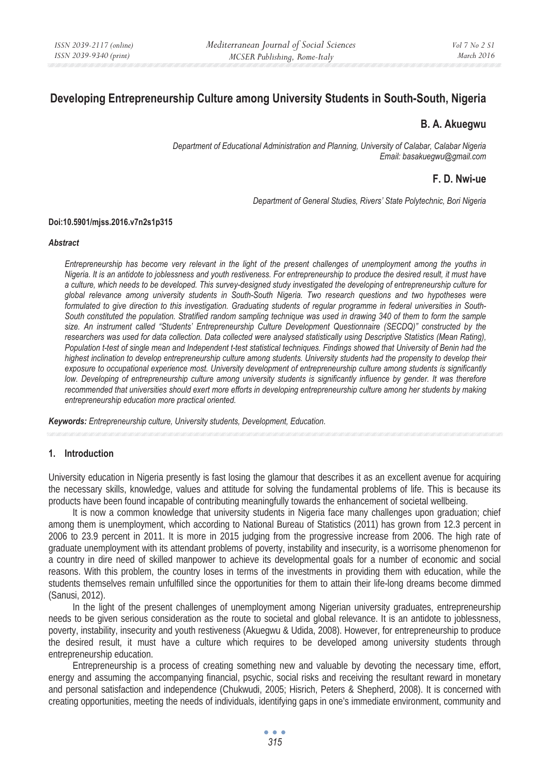# **Developing Entrepreneurship Culture among University Students in South-South, Nigeria**

# **B. A. Akuegwu**

*Department of Educational Administration and Planning, University of Calabar, Calabar Nigeria Email: basakuegwu@gmail.com* 

# **F. D. Nwi-ue**

*Department of General Studies, Rivers' State Polytechnic, Bori Nigeria* 

#### **Doi:10.5901/mjss.2016.v7n2s1p315**

#### *Abstract*

*Entrepreneurship has become very relevant in the light of the present challenges of unemployment among the youths in Nigeria. It is an antidote to joblessness and youth restiveness. For entrepreneurship to produce the desired result, it must have a culture, which needs to be developed. This survey-designed study investigated the developing of entrepreneurship culture for global relevance among university students in South-South Nigeria. Two research questions and two hypotheses were formulated to give direction to this investigation. Graduating students of regular programme in federal universities in South-South constituted the population. Stratified random sampling technique was used in drawing 340 of them to form the sample size. An instrument called "Students' Entrepreneurship Culture Development Questionnaire (SECDQ)" constructed by the researchers was used for data collection. Data collected were analysed statistically using Descriptive Statistics (Mean Rating), Population t-test of single mean and Independent t-test statistical techniques. Findings showed that University of Benin had the highest inclination to develop entrepreneurship culture among students. University students had the propensity to develop their exposure to occupational experience most. University development of entrepreneurship culture among students is significantly low. Developing of entrepreneurship culture among university students is significantly influence by gender. It was therefore recommended that universities should exert more efforts in developing entrepreneurship culture among her students by making entrepreneurship education more practical oriented.* 

*Keywords: Entrepreneurship culture, University students, Development, Education.* 

# **1. Introduction**

University education in Nigeria presently is fast losing the glamour that describes it as an excellent avenue for acquiring the necessary skills, knowledge, values and attitude for solving the fundamental problems of life. This is because its products have been found incapable of contributing meaningfully towards the enhancement of societal wellbeing.

It is now a common knowledge that university students in Nigeria face many challenges upon graduation; chief among them is unemployment, which according to National Bureau of Statistics (2011) has grown from 12.3 percent in 2006 to 23.9 percent in 2011. It is more in 2015 judging from the progressive increase from 2006. The high rate of graduate unemployment with its attendant problems of poverty, instability and insecurity, is a worrisome phenomenon for a country in dire need of skilled manpower to achieve its developmental goals for a number of economic and social reasons. With this problem, the country loses in terms of the investments in providing them with education, while the students themselves remain unfulfilled since the opportunities for them to attain their life-long dreams become dimmed (Sanusi, 2012).

In the light of the present challenges of unemployment among Nigerian university graduates, entrepreneurship needs to be given serious consideration as the route to societal and global relevance. It is an antidote to joblessness, poverty, instability, insecurity and youth restiveness (Akuegwu & Udida, 2008). However, for entrepreneurship to produce the desired result, it must have a culture which requires to be developed among university students through entrepreneurship education.

Entrepreneurship is a process of creating something new and valuable by devoting the necessary time, effort, energy and assuming the accompanying financial, psychic, social risks and receiving the resultant reward in monetary and personal satisfaction and independence (Chukwudi, 2005; Hisrich, Peters & Shepherd, 2008). It is concerned with creating opportunities, meeting the needs of individuals, identifying gaps in one's immediate environment, community and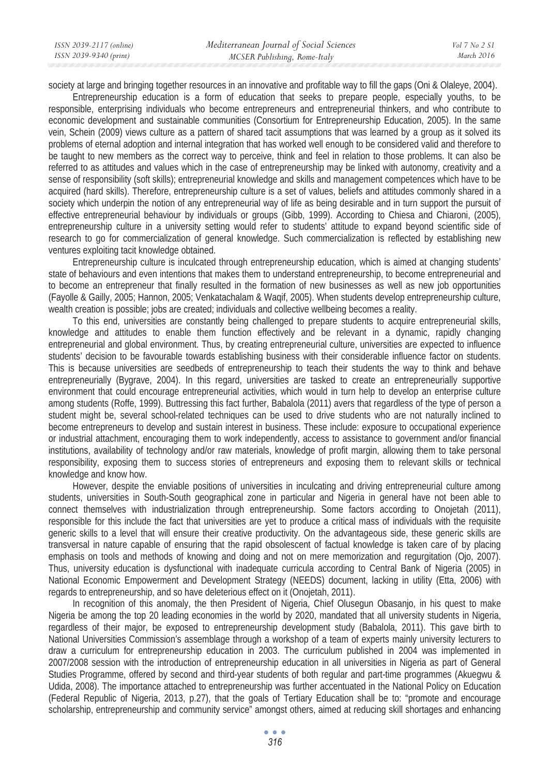society at large and bringing together resources in an innovative and profitable way to fill the gaps (Oni & Olaleye, 2004).

Entrepreneurship education is a form of education that seeks to prepare people, especially youths, to be responsible, enterprising individuals who become entrepreneurs and entrepreneurial thinkers, and who contribute to economic development and sustainable communities (Consortium for Entrepreneurship Education, 2005). In the same vein, Schein (2009) views culture as a pattern of shared tacit assumptions that was learned by a group as it solved its problems of eternal adoption and internal integration that has worked well enough to be considered valid and therefore to be taught to new members as the correct way to perceive, think and feel in relation to those problems. It can also be referred to as attitudes and values which in the case of entrepreneurship may be linked with autonomy, creativity and a sense of responsibility (soft skills); entrepreneurial knowledge and skills and management competences which have to be acquired (hard skills). Therefore, entrepreneurship culture is a set of values, beliefs and attitudes commonly shared in a society which underpin the notion of any entrepreneurial way of life as being desirable and in turn support the pursuit of effective entrepreneurial behaviour by individuals or groups (Gibb, 1999). According to Chiesa and Chiaroni, (2005), entrepreneurship culture in a university setting would refer to students' attitude to expand beyond scientific side of research to go for commercialization of general knowledge. Such commercialization is reflected by establishing new ventures exploiting tacit knowledge obtained.

Entrepreneurship culture is inculcated through entrepreneurship education, which is aimed at changing students' state of behaviours and even intentions that makes them to understand entrepreneurship, to become entrepreneurial and to become an entrepreneur that finally resulted in the formation of new businesses as well as new job opportunities (Fayolle & Gailly, 2005; Hannon, 2005; Venkatachalam & Waqif, 2005). When students develop entrepreneurship culture, wealth creation is possible; jobs are created; individuals and collective wellbeing becomes a reality.

To this end, universities are constantly being challenged to prepare students to acquire entrepreneurial skills, knowledge and attitudes to enable them function effectively and be relevant in a dynamic, rapidly changing entrepreneurial and global environment. Thus, by creating entrepreneurial culture, universities are expected to influence students' decision to be favourable towards establishing business with their considerable influence factor on students. This is because universities are seedbeds of entrepreneurship to teach their students the way to think and behave entrepreneurially (Bygrave, 2004). In this regard, universities are tasked to create an entrepreneurially supportive environment that could encourage entrepreneurial activities, which would in turn help to develop an enterprise culture among students (Roffe, 1999). Buttressing this fact further, Babalola (2011) avers that regardless of the type of person a student might be, several school-related techniques can be used to drive students who are not naturally inclined to become entrepreneurs to develop and sustain interest in business. These include: exposure to occupational experience or industrial attachment, encouraging them to work independently, access to assistance to government and/or financial institutions, availability of technology and/or raw materials, knowledge of profit margin, allowing them to take personal responsibility, exposing them to success stories of entrepreneurs and exposing them to relevant skills or technical knowledge and know how.

However, despite the enviable positions of universities in inculcating and driving entrepreneurial culture among students, universities in South-South geographical zone in particular and Nigeria in general have not been able to connect themselves with industrialization through entrepreneurship. Some factors according to Onojetah (2011), responsible for this include the fact that universities are yet to produce a critical mass of individuals with the requisite generic skills to a level that will ensure their creative productivity. On the advantageous side, these generic skills are transversal in nature capable of ensuring that the rapid obsolescent of factual knowledge is taken care of by placing emphasis on tools and methods of knowing and doing and not on mere memorization and regurgitation (Ojo, 2007). Thus, university education is dysfunctional with inadequate curricula according to Central Bank of Nigeria (2005) in National Economic Empowerment and Development Strategy (NEEDS) document, lacking in utility (Etta, 2006) with regards to entrepreneurship, and so have deleterious effect on it (Onojetah, 2011).

In recognition of this anomaly, the then President of Nigeria, Chief Olusegun Obasanjo, in his quest to make Nigeria be among the top 20 leading economies in the world by 2020, mandated that all university students in Nigeria, regardless of their major, be exposed to entrepreneurship development study (Babalola, 2011). This gave birth to National Universities Commission's assemblage through a workshop of a team of experts mainly university lecturers to draw a curriculum for entrepreneurship education in 2003. The curriculum published in 2004 was implemented in 2007/2008 session with the introduction of entrepreneurship education in all universities in Nigeria as part of General Studies Programme, offered by second and third-year students of both regular and part-time programmes (Akuegwu & Udida, 2008). The importance attached to entrepreneurship was further accentuated in the National Policy on Education (Federal Republic of Nigeria, 2013, p.27), that the goals of Tertiary Education shall be to: "promote and encourage scholarship, entrepreneurship and community service" amongst others, aimed at reducing skill shortages and enhancing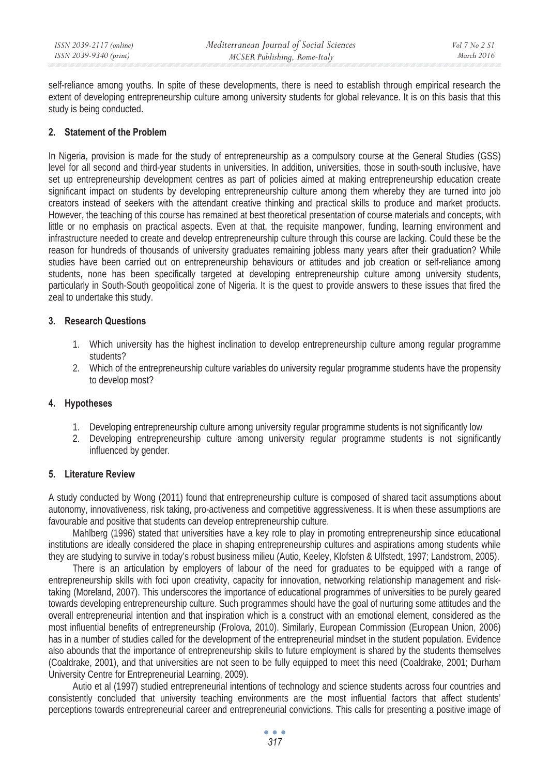self-reliance among youths. In spite of these developments, there is need to establish through empirical research the extent of developing entrepreneurship culture among university students for global relevance. It is on this basis that this study is being conducted.

# **2. Statement of the Problem**

In Nigeria, provision is made for the study of entrepreneurship as a compulsory course at the General Studies (GSS) level for all second and third-year students in universities. In addition, universities, those in south-south inclusive, have set up entrepreneurship development centres as part of policies aimed at making entrepreneurship education create significant impact on students by developing entrepreneurship culture among them whereby they are turned into job creators instead of seekers with the attendant creative thinking and practical skills to produce and market products. However, the teaching of this course has remained at best theoretical presentation of course materials and concepts, with little or no emphasis on practical aspects. Even at that, the requisite manpower, funding, learning environment and infrastructure needed to create and develop entrepreneurship culture through this course are lacking. Could these be the reason for hundreds of thousands of university graduates remaining jobless many years after their graduation? While studies have been carried out on entrepreneurship behaviours or attitudes and job creation or self-reliance among students, none has been specifically targeted at developing entrepreneurship culture among university students, particularly in South-South geopolitical zone of Nigeria. It is the quest to provide answers to these issues that fired the zeal to undertake this study.

# **3. Research Questions**

- 1. Which university has the highest inclination to develop entrepreneurship culture among regular programme students?
- 2. Which of the entrepreneurship culture variables do university regular programme students have the propensity to develop most?

# **4. Hypotheses**

- 1. Developing entrepreneurship culture among university regular programme students is not significantly low
- 2. Developing entrepreneurship culture among university regular programme students is not significantly influenced by gender.

# **5. Literature Review**

A study conducted by Wong (2011) found that entrepreneurship culture is composed of shared tacit assumptions about autonomy, innovativeness, risk taking, pro-activeness and competitive aggressiveness. It is when these assumptions are favourable and positive that students can develop entrepreneurship culture.

Mahlberg (1996) stated that universities have a key role to play in promoting entrepreneurship since educational institutions are ideally considered the place in shaping entrepreneurship cultures and aspirations among students while they are studying to survive in today's robust business milieu (Autio, Keeley, Klofsten & Ulfstedt, 1997; Landstrom, 2005).

There is an articulation by employers of labour of the need for graduates to be equipped with a range of entrepreneurship skills with foci upon creativity, capacity for innovation, networking relationship management and risktaking (Moreland, 2007). This underscores the importance of educational programmes of universities to be purely geared towards developing entrepreneurship culture. Such programmes should have the goal of nurturing some attitudes and the overall entrepreneurial intention and that inspiration which is a construct with an emotional element, considered as the most influential benefits of entrepreneurship (Frolova, 2010). Similarly, European Commission (European Union, 2006) has in a number of studies called for the development of the entrepreneurial mindset in the student population. Evidence also abounds that the importance of entrepreneurship skills to future employment is shared by the students themselves (Coaldrake, 2001), and that universities are not seen to be fully equipped to meet this need (Coaldrake, 2001; Durham University Centre for Entrepreneurial Learning, 2009).

Autio et al (1997) studied entrepreneurial intentions of technology and science students across four countries and consistently concluded that university teaching environments are the most influential factors that affect students' perceptions towards entrepreneurial career and entrepreneurial convictions. This calls for presenting a positive image of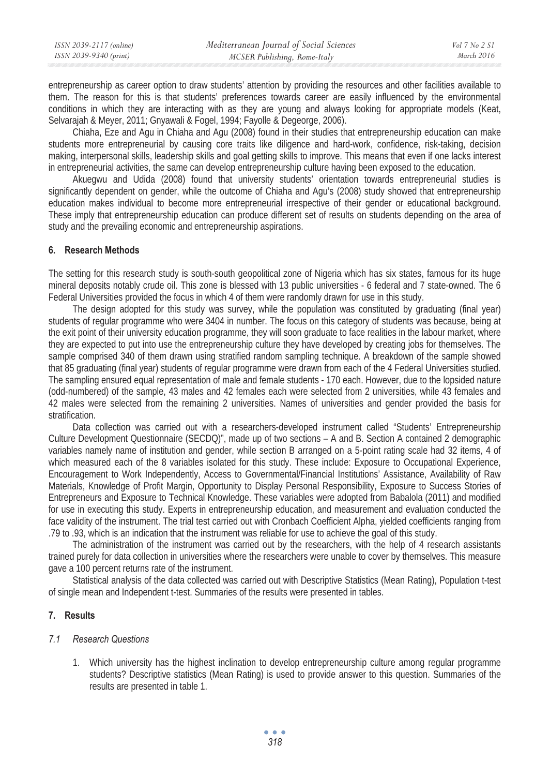| ISSN 2039-2117 (online) | Mediterranean Journal of Social Sciences | Vol 7 No 2 SI |
|-------------------------|------------------------------------------|---------------|
| ISSN 2039-9340 (print)  | MCSER Publishing, Rome-Italy             | March 2016    |

entrepreneurship as career option to draw students' attention by providing the resources and other facilities available to them. The reason for this is that students' preferences towards career are easily influenced by the environmental conditions in which they are interacting with as they are young and always looking for appropriate models (Keat, Selvarajah & Meyer, 2011; Gnyawali & Fogel, 1994; Fayolle & Degeorge, 2006).

Chiaha, Eze and Agu in Chiaha and Agu (2008) found in their studies that entrepreneurship education can make students more entrepreneurial by causing core traits like diligence and hard-work, confidence, risk-taking, decision making, interpersonal skills, leadership skills and goal getting skills to improve. This means that even if one lacks interest in entrepreneurial activities, the same can develop entrepreneurship culture having been exposed to the education.

Akuegwu and Udida (2008) found that university students' orientation towards entrepreneurial studies is significantly dependent on gender, while the outcome of Chiaha and Agu's (2008) study showed that entrepreneurship education makes individual to become more entrepreneurial irrespective of their gender or educational background. These imply that entrepreneurship education can produce different set of results on students depending on the area of study and the prevailing economic and entrepreneurship aspirations.

### **6. Research Methods**

The setting for this research study is south-south geopolitical zone of Nigeria which has six states, famous for its huge mineral deposits notably crude oil. This zone is blessed with 13 public universities - 6 federal and 7 state-owned. The 6 Federal Universities provided the focus in which 4 of them were randomly drawn for use in this study.

The design adopted for this study was survey, while the population was constituted by graduating (final year) students of regular programme who were 3404 in number. The focus on this category of students was because, being at the exit point of their university education programme, they will soon graduate to face realities in the labour market, where they are expected to put into use the entrepreneurship culture they have developed by creating jobs for themselves. The sample comprised 340 of them drawn using stratified random sampling technique. A breakdown of the sample showed that 85 graduating (final year) students of regular programme were drawn from each of the 4 Federal Universities studied. The sampling ensured equal representation of male and female students - 170 each. However, due to the lopsided nature (odd-numbered) of the sample, 43 males and 42 females each were selected from 2 universities, while 43 females and 42 males were selected from the remaining 2 universities. Names of universities and gender provided the basis for stratification.

Data collection was carried out with a researchers-developed instrument called "Students' Entrepreneurship Culture Development Questionnaire (SECDQ)", made up of two sections – A and B. Section A contained 2 demographic variables namely name of institution and gender, while section B arranged on a 5-point rating scale had 32 items, 4 of which measured each of the 8 variables isolated for this study. These include: Exposure to Occupational Experience, Encouragement to Work Independently, Access to Governmental/Financial Institutions' Assistance, Availability of Raw Materials, Knowledge of Profit Margin, Opportunity to Display Personal Responsibility, Exposure to Success Stories of Entrepreneurs and Exposure to Technical Knowledge. These variables were adopted from Babalola (2011) and modified for use in executing this study. Experts in entrepreneurship education, and measurement and evaluation conducted the face validity of the instrument. The trial test carried out with Cronbach Coefficient Alpha, yielded coefficients ranging from .79 to .93, which is an indication that the instrument was reliable for use to achieve the goal of this study.

The administration of the instrument was carried out by the researchers, with the help of 4 research assistants trained purely for data collection in universities where the researchers were unable to cover by themselves. This measure gave a 100 percent returns rate of the instrument.

Statistical analysis of the data collected was carried out with Descriptive Statistics (Mean Rating), Population t-test of single mean and Independent t-test. Summaries of the results were presented in tables.

#### **7. Results**

#### *7.1 Research Questions*

1. Which university has the highest inclination to develop entrepreneurship culture among regular programme students? Descriptive statistics (Mean Rating) is used to provide answer to this question. Summaries of the results are presented in table 1.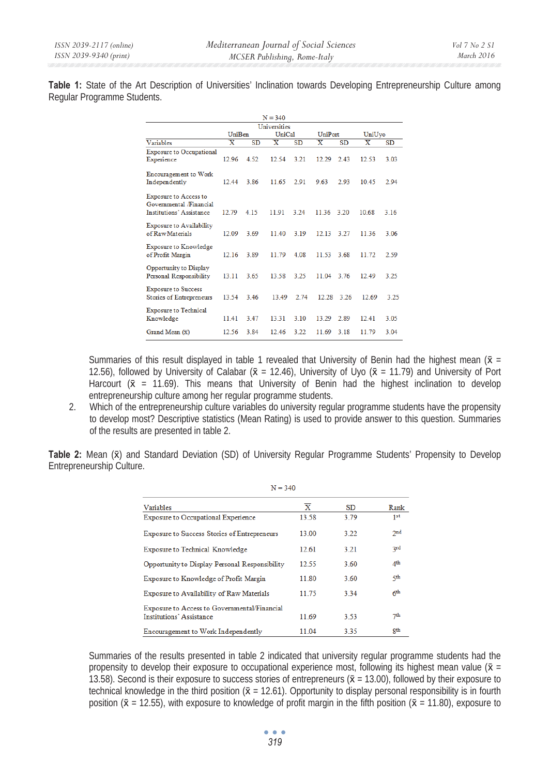**Table 1:** State of the Art Description of Universities' Inclination towards Developing Entrepreneurship Culture among Regular Programme Students.

| $N = 340$                                                                           |                         |           |                         |           |                         |           |                         |           |
|-------------------------------------------------------------------------------------|-------------------------|-----------|-------------------------|-----------|-------------------------|-----------|-------------------------|-----------|
| Universities                                                                        |                         |           |                         |           |                         |           |                         |           |
|                                                                                     | UniBen                  |           | UniCal                  |           | UniPort                 |           | UniUvo                  |           |
| Variables                                                                           | $\overline{\mathbf{x}}$ | <b>SD</b> | $\overline{\mathbf{x}}$ | <b>SD</b> | $\overline{\mathbf{x}}$ | <b>SD</b> | $\overline{\mathbf{x}}$ | <b>SD</b> |
| <b>Exposure to Occupational</b><br>Experience                                       | 12.96                   | 4.52      | 12.54                   | 3.21      | 12.29                   | 2.43      | 12.53                   | 3.03      |
| <b>Encouragement to Work</b><br>Independently                                       | 12.44                   | 3.86      | 11.65                   | 2.91      | 9.63                    | 2.93      | 10.45                   | 2.94      |
| Exposure to Access to<br>Governmental /Financial<br><b>Institutions' Assistance</b> | 12.79                   | 4.15      | 11.91                   | 3.24      | 11.36                   | 3.20      | 10.68                   | 3.16      |
| <b>Exposure to Availability</b><br>of Raw Materials                                 | 12.09                   | 3.69      | 11.40                   | 3.19      | 12.13 3.27              |           | 11.36                   | 3.06      |
| Exposure to Knowledge<br>of Profit Margin                                           | 12.16                   | 3.89      | 11.79                   | 4.08      | 11.53                   | 3.68      | 11.72                   | 2.59      |
| Opportunity to Display<br>Personal Responsibility                                   | 13.11                   | 3.65      | 13.58                   | 3.25      | 11 04                   | 3.76      | 12.49                   | 3.25      |
| <b>Exposure to Success</b><br><b>Stories of Entrepreneurs</b>                       | 13.54                   | 3.46      | 13.49                   | 2.74      | 12.28                   | 3.26      | 12.69                   | 3.25      |
| <b>Exposure to Technical</b><br>Knowledge                                           | 11.41                   | 3.47      | 13.31                   | 3.10      | 13 29                   | 2.89      | 12.41                   | 3.05      |
| Grand Mean (x)                                                                      | 12.56                   | 3.84      | 12.46                   | 3.22      | 11.69                   | 3 1 8     | 11.79                   | 3.04      |

Summaries of this result displayed in table 1 revealed that University of Benin had the highest mean ( $\bar{x}$  = 12.56), followed by University of Calabar ( $\bar{x}$  = 12.46), University of Uyo ( $\bar{x}$  = 11.79) and University of Port Harcourt  $(\bar{x} = 11.69)$ . This means that University of Benin had the highest inclination to develop entrepreneurship culture among her regular programme students.

2. Which of the entrepreneurship culture variables do university regular programme students have the propensity to develop most? Descriptive statistics (Mean Rating) is used to provide answer to this question. Summaries of the results are presented in table 2.

**Table 2:** Mean (x) and Standard Deviation (SD) of University Regular Programme Students' Propensity to Develop Entrepreneurship Culture.

| $N = 340$                                                                       |                         |           |                 |  |  |
|---------------------------------------------------------------------------------|-------------------------|-----------|-----------------|--|--|
| Variables                                                                       | $\overline{\textbf{x}}$ | <b>SD</b> | Rank            |  |  |
| <b>Exposure to Occupational Experience</b>                                      | 13.58                   | 3.79      | 1st             |  |  |
| <b>Exposure to Success Stories of Entrepreneurs</b>                             | 13.00                   | 3.22      | 2nd             |  |  |
| <b>Exposure to Technical Knowledge</b>                                          | 12.61                   | 3.21      | 3rd             |  |  |
| Opportunity to Display Personal Responsibility                                  | 12.55                   | 3.60      | 4 <sup>th</sup> |  |  |
| Exposure to Knowledge of Profit Margin                                          | 11.80                   | 3.60      | 5th             |  |  |
| Exposure to Availability of Raw Materials                                       | 1175                    | 3.34      | 6 <sup>th</sup> |  |  |
| Exposure to Access to Governmental/Financial<br><b>Institutions' Assistance</b> | 11.69                   | 3.53      | 7 <sup>th</sup> |  |  |
| Encouragement to Work Independently                                             | 11.04                   | 3.35      | gth             |  |  |

Summaries of the results presented in table 2 indicated that university regular programme students had the propensity to develop their exposure to occupational experience most, following its highest mean value ( $\bar{x}$  = 13.58). Second is their exposure to success stories of entrepreneurs ( $\bar{x}$  = 13.00), followed by their exposure to technical knowledge in the third position  $(x = 12.61)$ . Opportunity to display personal responsibility is in fourth position ( $\bar{x}$  = 12.55), with exposure to knowledge of profit margin in the fifth position ( $\bar{x}$  = 11.80), exposure to

 $\bullet$   $\bullet$   $\bullet$ *319*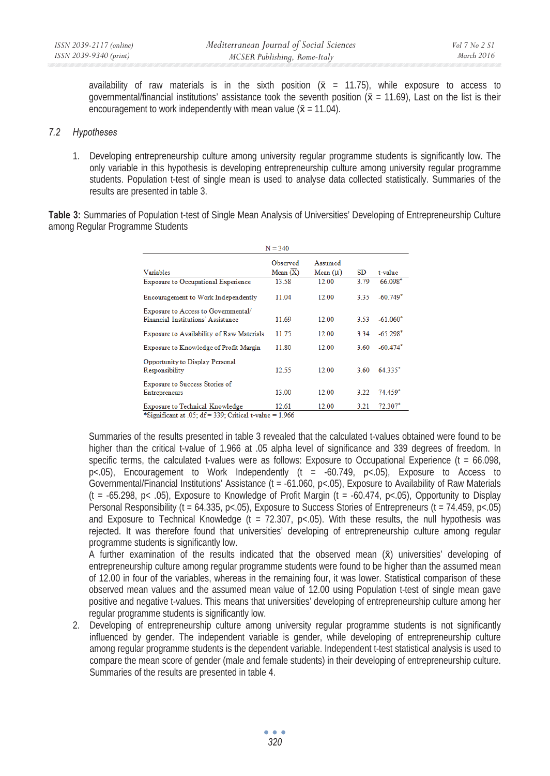availability of raw materials is in the sixth position  $(x = 11.75)$ , while exposure to access to governmental/financial institutions' assistance took the seventh position  $(\bar{x} = 11.69)$ , Last on the list is their encouragement to work independently with mean value ( $\bar{x}$  = 11.04).

### *7.2 Hypotheses*

1. Developing entrepreneurship culture among university regular programme students is significantly low. The only variable in this hypothesis is developing entrepreneurship culture among university regular programme students. Population t-test of single mean is used to analyse data collected statistically. Summaries of the results are presented in table 3.

**Table 3:** Summaries of Population t-test of Single Mean Analysis of Universities' Developing of Entrepreneurship Culture among Regular Programme Students

| $N = 340$                                                                 |                        |                         |       |            |  |  |
|---------------------------------------------------------------------------|------------------------|-------------------------|-------|------------|--|--|
| Variables                                                                 | Observed<br>Mean $(X)$ | Assumed<br>Mean $(\mu)$ | SD    | t-value    |  |  |
| <b>Exposure to Occupational Experience</b>                                | 13.58                  | 12.00                   | 3.79  | $66.098*$  |  |  |
| Encouragement to Work Independently                                       | 11 04                  | 12.00                   | 3.35  | $-60.749*$ |  |  |
| Exposure to Access to Governmental/<br>Financial Institutions' Assistance | 11.69                  | 12.00                   | 3.53  | $-61.060*$ |  |  |
| Exposure to Availability of Raw Materials                                 | 11.75                  | 12.00                   | 3.34  | $-65.298*$ |  |  |
| Exposure to Knowledge of Profit Margin                                    | 11.80                  | 12.00                   | 3.60  | $-60.474*$ |  |  |
| Opportunity to Display Personal<br>Responsibility                         | 12.55                  | 12.00                   | 3.60  | $64.335*$  |  |  |
| <b>Exposure to Success Stories of</b><br><b>Entrepreneurs</b>             | 13.00                  | 12.00                   | 3.22  | 74.459*    |  |  |
| <b>Exposure to Technical Knowledge</b>                                    | 12.61                  | 12.00                   | 3 2 1 | $72.307*$  |  |  |

Significant at .05;  $df = 339$ ; Critical t-value = 1.966

Summaries of the results presented in table 3 revealed that the calculated t-values obtained were found to be higher than the critical t-value of 1.966 at .05 alpha level of significance and 339 degrees of freedom. In specific terms, the calculated t-values were as follows: Exposure to Occupational Experience ( $t = 66.098$ , p<.05), Encouragement to Work Independently (t =  $-60.749$ , p<.05), Exposure to Access to Governmental/Financial Institutions' Assistance (t = -61.060, p<.05), Exposure to Availability of Raw Materials  $(t = -65.298, p < .05)$ , Exposure to Knowledge of Profit Margin  $(t = -60.474, p < .05)$ , Opportunity to Display Personal Responsibility (t = 64.335, p<.05), Exposure to Success Stories of Entrepreneurs (t = 74.459, p<.05) and Exposure to Technical Knowledge (t = 72.307, p<.05). With these results, the null hypothesis was rejected. It was therefore found that universities' developing of entrepreneurship culture among regular programme students is significantly low.

A further examination of the results indicated that the observed mean  $(x)$  universities' developing of entrepreneurship culture among regular programme students were found to be higher than the assumed mean of 12.00 in four of the variables, whereas in the remaining four, it was lower. Statistical comparison of these observed mean values and the assumed mean value of 12.00 using Population t-test of single mean gave positive and negative t-values. This means that universities' developing of entrepreneurship culture among her regular programme students is significantly low.

2. Developing of entrepreneurship culture among university regular programme students is not significantly influenced by gender. The independent variable is gender, while developing of entrepreneurship culture among regular programme students is the dependent variable. Independent t-test statistical analysis is used to compare the mean score of gender (male and female students) in their developing of entrepreneurship culture. Summaries of the results are presented in table 4.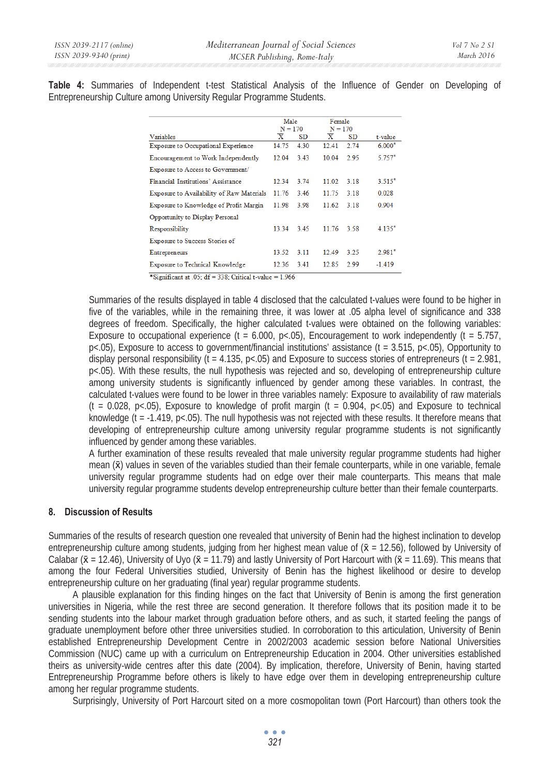**Table 4:** Summaries of Independent t-test Statistical Analysis of the Influence of Gender on Developing of Entrepreneurship Culture among University Regular Programme Students.

|                                            | Male<br>$N = 170$       |      | Female<br>$N = 170$     |           |          |
|--------------------------------------------|-------------------------|------|-------------------------|-----------|----------|
| Variables                                  | $\overline{\mathbf{x}}$ | SD   | $\overline{\mathbf{x}}$ | <b>SD</b> | t-value  |
| <b>Exposure to Occupational Experience</b> | 14.75                   | 4.30 | 12.41                   | 2.74      | $6.000*$ |
| Encouragement to Work Independently        | 12.04                   | 3.43 | 10.04                   | 2.95      | $5.757*$ |
| Exposure to Access to Government/          |                         |      |                         |           |          |
| Financial Institutions' Assistance         | 12.34                   | 3 74 | 11 02                   | 3 1 8     | $3.515*$ |
| Exposure to Availability of Raw Materials  | 11.76                   | 3.46 | 11.75                   | 3.18      | 0.028    |
| Exposure to Knowledge of Profit Margin     | 11.98                   | 3.98 | 11.62                   | 3.18      | 0.904    |
| Opportunity to Display Personal            |                         |      |                         |           |          |
| Responsibility                             | 13 34                   | 345  | 1176                    | 3.58      | $4135*$  |
| <b>Exposure to Success Stories of</b>      |                         |      |                         |           |          |
| <b>Entrepreneurs</b>                       | 13.52                   | 3.11 | 12.49                   | 3.25      | $2.981*$ |
| <b>Exposure to Technical Knowledge</b>     | 12.36                   | 3.41 | 12.85                   | 2.99      | $-1.419$ |

\*Significant at .05;  $df = 338$ ; Critical t-value = 1.966

Summaries of the results displayed in table 4 disclosed that the calculated t-values were found to be higher in five of the variables, while in the remaining three, it was lower at .05 alpha level of significance and 338 degrees of freedom. Specifically, the higher calculated t-values were obtained on the following variables: Exposure to occupational experience (t = 6.000, p<.05), Encouragement to work independently (t = 5.757,  $p$ <.05), Exposure to access to government/financial institutions' assistance (t = 3.515,  $p$ <.05), Opportunity to display personal responsibility (t = 4.135,  $p<0$ 5) and Exposure to success stories of entrepreneurs (t = 2.981, p<.05). With these results, the null hypothesis was rejected and so, developing of entrepreneurship culture among university students is significantly influenced by gender among these variables. In contrast, the calculated t-values were found to be lower in three variables namely: Exposure to availability of raw materials  $(t = 0.028, p < 0.05)$ . Exposure to knowledge of profit margin  $(t = 0.904, p < 0.05)$  and Exposure to technical knowledge ( $t = -1.419$ ,  $p < 05$ ). The null hypothesis was not rejected with these results. It therefore means that developing of entrepreneurship culture among university regular programme students is not significantly influenced by gender among these variables.

A further examination of these results revealed that male university regular programme students had higher mean (x) values in seven of the variables studied than their female counterparts, while in one variable, female university regular programme students had on edge over their male counterparts. This means that male university regular programme students develop entrepreneurship culture better than their female counterparts.

# **8. Discussion of Results**

Summaries of the results of research question one revealed that university of Benin had the highest inclination to develop entrepreneurship culture among students, judging from her highest mean value of  $(\bar{x} = 12.56)$ , followed by University of Calabar ( $\bar{x}$  = 12.46), University of Uyo ( $\bar{x}$  = 11.79) and lastly University of Port Harcourt with ( $\bar{x}$  = 11.69). This means that among the four Federal Universities studied, University of Benin has the highest likelihood or desire to develop entrepreneurship culture on her graduating (final year) regular programme students.

A plausible explanation for this finding hinges on the fact that University of Benin is among the first generation universities in Nigeria, while the rest three are second generation. It therefore follows that its position made it to be sending students into the labour market through graduation before others, and as such, it started feeling the pangs of graduate unemployment before other three universities studied. In corroboration to this articulation, University of Benin established Entrepreneurship Development Centre in 2002/2003 academic session before National Universities Commission (NUC) came up with a curriculum on Entrepreneurship Education in 2004. Other universities established theirs as university-wide centres after this date (2004). By implication, therefore, University of Benin, having started Entrepreneurship Programme before others is likely to have edge over them in developing entrepreneurship culture among her regular programme students.

Surprisingly, University of Port Harcourt sited on a more cosmopolitan town (Port Harcourt) than others took the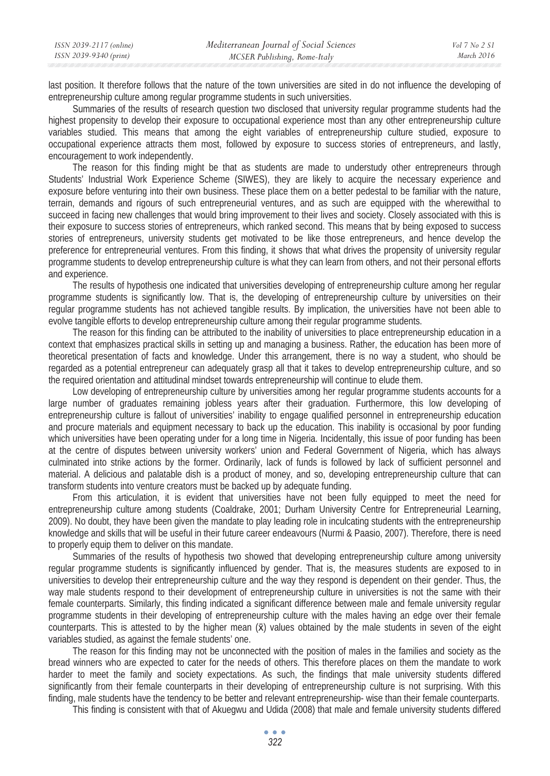last position. It therefore follows that the nature of the town universities are sited in do not influence the developing of entrepreneurship culture among regular programme students in such universities.

Summaries of the results of research question two disclosed that university regular programme students had the highest propensity to develop their exposure to occupational experience most than any other entrepreneurship culture variables studied. This means that among the eight variables of entrepreneurship culture studied, exposure to occupational experience attracts them most, followed by exposure to success stories of entrepreneurs, and lastly, encouragement to work independently.

The reason for this finding might be that as students are made to understudy other entrepreneurs through Students' Industrial Work Experience Scheme (SIWES), they are likely to acquire the necessary experience and exposure before venturing into their own business. These place them on a better pedestal to be familiar with the nature, terrain, demands and rigours of such entrepreneurial ventures, and as such are equipped with the wherewithal to succeed in facing new challenges that would bring improvement to their lives and society. Closely associated with this is their exposure to success stories of entrepreneurs, which ranked second. This means that by being exposed to success stories of entrepreneurs, university students get motivated to be like those entrepreneurs, and hence develop the preference for entrepreneurial ventures. From this finding, it shows that what drives the propensity of university regular programme students to develop entrepreneurship culture is what they can learn from others, and not their personal efforts and experience.

The results of hypothesis one indicated that universities developing of entrepreneurship culture among her regular programme students is significantly low. That is, the developing of entrepreneurship culture by universities on their regular programme students has not achieved tangible results. By implication, the universities have not been able to evolve tangible efforts to develop entrepreneurship culture among their regular programme students.

The reason for this finding can be attributed to the inability of universities to place entrepreneurship education in a context that emphasizes practical skills in setting up and managing a business. Rather, the education has been more of theoretical presentation of facts and knowledge. Under this arrangement, there is no way a student, who should be regarded as a potential entrepreneur can adequately grasp all that it takes to develop entrepreneurship culture, and so the required orientation and attitudinal mindset towards entrepreneurship will continue to elude them.

Low developing of entrepreneurship culture by universities among her regular programme students accounts for a large number of graduates remaining jobless years after their graduation. Furthermore, this low developing of entrepreneurship culture is fallout of universities' inability to engage qualified personnel in entrepreneurship education and procure materials and equipment necessary to back up the education. This inability is occasional by poor funding which universities have been operating under for a long time in Nigeria. Incidentally, this issue of poor funding has been at the centre of disputes between university workers' union and Federal Government of Nigeria, which has always culminated into strike actions by the former. Ordinarily, lack of funds is followed by lack of sufficient personnel and material. A delicious and palatable dish is a product of money, and so, developing entrepreneurship culture that can transform students into venture creators must be backed up by adequate funding.

From this articulation, it is evident that universities have not been fully equipped to meet the need for entrepreneurship culture among students (Coaldrake, 2001; Durham University Centre for Entrepreneurial Learning, 2009). No doubt, they have been given the mandate to play leading role in inculcating students with the entrepreneurship knowledge and skills that will be useful in their future career endeavours (Nurmi & Paasio, 2007). Therefore, there is need to properly equip them to deliver on this mandate.

Summaries of the results of hypothesis two showed that developing entrepreneurship culture among university regular programme students is significantly influenced by gender. That is, the measures students are exposed to in universities to develop their entrepreneurship culture and the way they respond is dependent on their gender. Thus, the way male students respond to their development of entrepreneurship culture in universities is not the same with their female counterparts. Similarly, this finding indicated a significant difference between male and female university regular programme students in their developing of entrepreneurship culture with the males having an edge over their female counterparts. This is attested to by the higher mean  $(\bar{x})$  values obtained by the male students in seven of the eight variables studied, as against the female students' one.

The reason for this finding may not be unconnected with the position of males in the families and society as the bread winners who are expected to cater for the needs of others. This therefore places on them the mandate to work harder to meet the family and society expectations. As such, the findings that male university students differed significantly from their female counterparts in their developing of entrepreneurship culture is not surprising. With this finding, male students have the tendency to be better and relevant entrepreneurship- wise than their female counterparts.

This finding is consistent with that of Akuegwu and Udida (2008) that male and female university students differed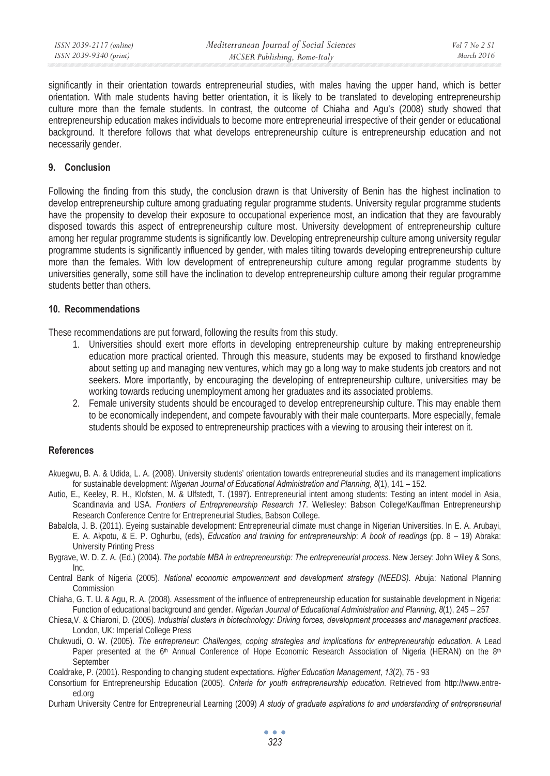significantly in their orientation towards entrepreneurial studies, with males having the upper hand, which is better orientation. With male students having better orientation, it is likely to be translated to developing entrepreneurship culture more than the female students. In contrast, the outcome of Chiaha and Agu's (2008) study showed that entrepreneurship education makes individuals to become more entrepreneurial irrespective of their gender or educational background. It therefore follows that what develops entrepreneurship culture is entrepreneurship education and not necessarily gender.

# **9. Conclusion**

Following the finding from this study, the conclusion drawn is that University of Benin has the highest inclination to develop entrepreneurship culture among graduating regular programme students. University regular programme students have the propensity to develop their exposure to occupational experience most, an indication that they are favourably disposed towards this aspect of entrepreneurship culture most. University development of entrepreneurship culture among her regular programme students is significantly low. Developing entrepreneurship culture among university regular programme students is significantly influenced by gender, with males tilting towards developing entrepreneurship culture more than the females. With low development of entrepreneurship culture among regular programme students by universities generally, some still have the inclination to develop entrepreneurship culture among their regular programme students better than others.

# **10. Recommendations**

These recommendations are put forward, following the results from this study.

- 1. Universities should exert more efforts in developing entrepreneurship culture by making entrepreneurship education more practical oriented. Through this measure, students may be exposed to firsthand knowledge about setting up and managing new ventures, which may go a long way to make students job creators and not seekers. More importantly, by encouraging the developing of entrepreneurship culture, universities may be working towards reducing unemployment among her graduates and its associated problems.
- 2. Female university students should be encouraged to develop entrepreneurship culture. This may enable them to be economically independent, and compete favourably with their male counterparts. More especially, female students should be exposed to entrepreneurship practices with a viewing to arousing their interest on it.

# **References**

- Akuegwu, B. A. & Udida, L. A. (2008). University students' orientation towards entrepreneurial studies and its management implications for sustainable development: *Nigerian Journal of Educational Administration and Planning*, *8*(1), 141 – 152.
- Autio, E., Keeley, R. H., Klofsten, M. & Ulfstedt, T. (1997). Entrepreneurial intent among students: Testing an intent model in Asia, Scandinavia and USA. *Frontiers of Entrepreneurship Research 17*. Wellesley: Babson College/Kauffman Entrepreneurship Research Conference Centre for Entrepreneurial Studies, Babson College.
- Babalola, J. B. (2011). Eyeing sustainable development: Entrepreneurial climate must change in Nigerian Universities. In E. A. Arubayi, E. A. Akpotu, & E. P. Oghurbu, (eds), *Education and training for entrepreneurship*: *A book of readings* (pp. 8 – 19) Abraka: University Printing Press
- Bygrave, W. D. Z. A. (Ed.) (2004). *The portable MBA in entrepreneurship: The entrepreneurial process.* New Jersey: John Wiley & Sons, Inc.
- Central Bank of Nigeria (2005). *National economic empowerment and development strategy (NEEDS)*. Abuja: National Planning Commission
- Chiaha, G. T. U. & Agu, R. A. (2008). Assessment of the influence of entrepreneurship education for sustainable development in Nigeria: Function of educational background and gender. *Nigerian Journal of Educational Administration and Planning, 8*(1), 245 – 257
- Chiesa,V. & Chiaroni, D. (2005). *Industrial clusters in biotechnology: Driving forces, development processes and management practices*. London, UK: Imperial College Press
- Chukwudi, O. W. (2005). *The entrepreneur: Challenges, coping strategies and implications for entrepreneurship education.* A Lead Paper presented at the 6<sup>th</sup> Annual Conference of Hope Economic Research Association of Nigeria (HERAN) on the 8<sup>th</sup> September
- Coaldrake, P. (2001). Responding to changing student expectations. *Higher Education Management*, *13*(2), 75 93
- Consortium for Entrepreneurship Education (2005). *Criteria for youth entrepreneurship education.* Retrieved from http://www.entreed.org
- Durham University Centre for Entrepreneurial Learning (2009) *A study of graduate aspirations to and understanding of entrepreneurial*